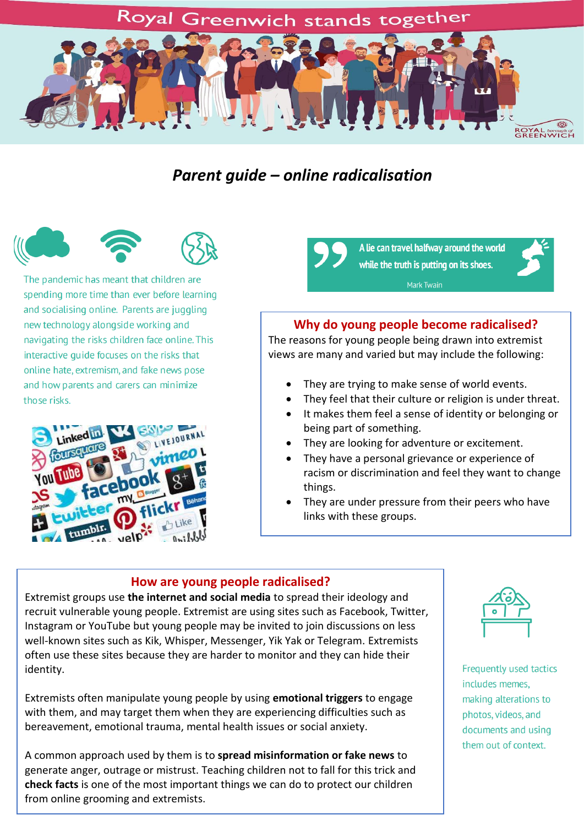## Royal Greenwich stands together



## *Parent guide – online radicalisation*





The pandemic has meant that children are spending more time than ever before learning and socialising online. Parents are juggling new technology alongside working and navigating the risks children face online. This interactive quide focuses on the risks that online hate, extremism, and fake news pose and how parents and carers can minimize those risks.



A lie can travel halfway around the world while the truth is putting on its shoes.

Mark Twain



#### **Why do young people become radicalised?**

The reasons for young people being drawn into extremist views are many and varied but may include the following:

- They are trying to make sense of world events.
- They feel that their culture or religion is under threat.
- It makes them feel a sense of identity or belonging or being part of something.
- They are looking for adventure or excitement.
- They have a personal grievance or experience of racism or discrimination and feel they want to change things.
- They are under pressure from their peers who have links with these groups.

#### **How are young people radicalised?**

Extremist groups use **the internet and social media** to spread their ideology and recruit vulnerable young people. Extremist are using sites such as Facebook, Twitter, Instagram or YouTube but young people may be invited to join discussions on less well-known sites such as Kik, Whisper, Messenger, Yik Yak or Telegram. Extremists often use these sites because they are harder to monitor and they can hide their identity.

Extremists often manipulate young people by using **emotional triggers** to engage with them, and may target them when they are experiencing difficulties such as bereavement, emotional trauma, mental health issues or social anxiety.

A common approach used by them is to **spread misinformation or fake news** to generate anger, outrage or mistrust. Teaching children not to fall for this trick and **check facts** is one of the most important things we can do to protect our children from online grooming and extremists.



Frequently used tactics includes memes. making alterations to photos, videos, and documents and using them out of context.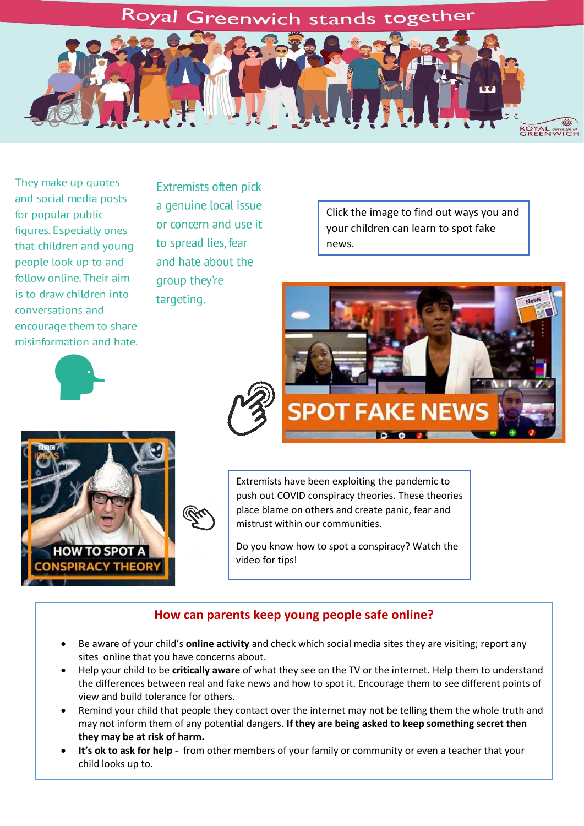## Royal Greenwich stands together



They make up quotes and social media posts for popular public figures. Especially ones that children and young people look up to and follow online. Their aim is to draw children into conversations and encourage them to share misinformation and hate.

Extremists often pick a genuine local issue or concern and use it to spread lies, fear and hate about the group they're targeting.

Click the image to find out ways you and your children can learn to spot fake news.





Extremists have been exploiting the pandemic to push out COVID conspiracy theories. These theories place blame on others and create panic, fear and mistrust within our communities.

Do you know how to spot a conspiracy? Watch the video for tips!

### **How can parents keep young people safe online?**

- Be aware of your child's **online activity** and check which social media sites they are visiting; report any sites online that you have concerns about.
- Help your child to be **critically aware** of what they see on the TV or the internet. Help them to understand the differences between real and fake news and how to spot it. Encourage them to see different points of view and build tolerance for others.
- Remind your child that people they contact over the internet may not be telling them the whole truth and may not inform them of any potential dangers. **If they are being asked to keep something secret then they may be at risk of harm.**
- **It's ok to ask for help** from other members of your family or community or even a teacher that your child looks up to.